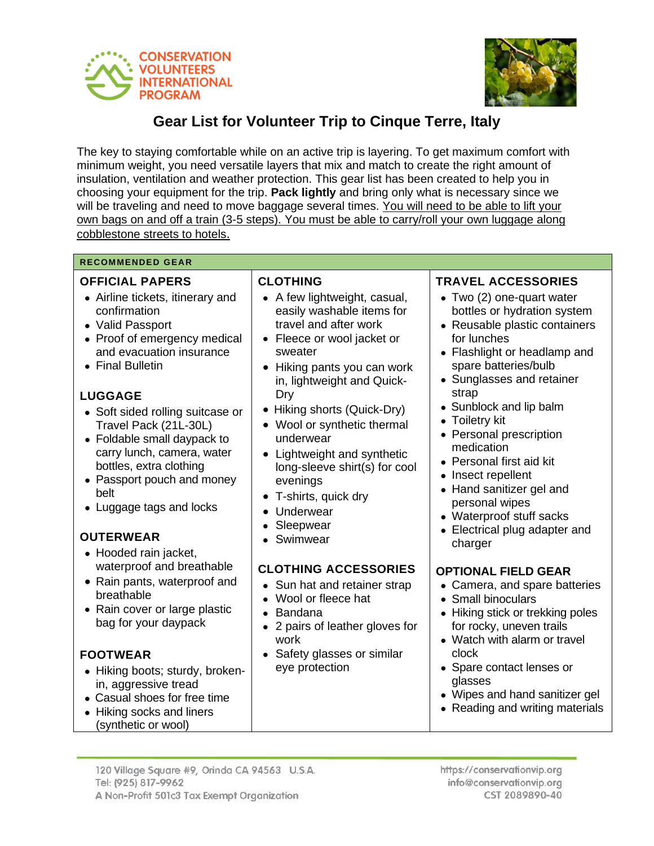



# **Gear List for Volunteer Trip to Cinque Terre, Italy**

The key to staying comfortable while on an active trip is layering. To get maximum comfort with minimum weight, you need versatile layers that mix and match to create the right amount of insulation, ventilation and weather protection. This gear list has been created to help you in choosing your equipment for the trip. **Pack lightly** and bring only what is necessary since we will be traveling and need to move baggage several times. You will need to be able to lift your own bags on and off a train (3-5 steps). You must be able to carry/roll your own luggage along cobblestone streets to hotels.

#### **RECOMMENDED GEAR**

#### **OFFICIAL PAPERS**

- Airline tickets, itinerary and confirmation
- Valid Passport
- Proof of emergency medical and evacuation insurance
- Final Bulletin

# **LUGGAGE**

- Soft sided rolling suitcase or Travel Pack (21L-30L)
- Foldable small daypack to carry lunch, camera, water bottles, extra clothing
- Passport pouch and money belt
- Luggage tags and locks

# **OUTERWEAR**

- Hooded rain jacket, waterproof and breathable
- Rain pants, waterproof and breathable
- Rain cover or large plastic bag for your daypack

# **FOOTWEAR**

- Hiking boots; sturdy, brokenin, aggressive tread
- Casual shoes for free time
- Hiking socks and liners (synthetic or wool)

### **CLOTHING**

- A few lightweight, casual, easily washable items for travel and after work
- Fleece or wool jacket or sweater
- Hiking pants you can work in, lightweight and Quick-Dry
- Hiking shorts (Quick-Dry)
- Wool or synthetic thermal underwear
- Lightweight and synthetic long-sleeve shirt(s) for cool evenings
- T-shirts, quick dry
- Underwear
- Sleepwear
- Swimwear

# **CLOTHING ACCESSORIES**

- Sun hat and retainer strap
- Wool or fleece hat
- Bandana
- 2 pairs of leather gloves for work
- Safety glasses or similar eye protection

#### **TRAVEL ACCESSORIES**

- Two (2) one-quart water bottles or hydration system
- Reusable plastic containers for lunches
- Flashlight or headlamp and spare batteries/bulb
- Sunglasses and retainer strap
- Sunblock and lip balm
- Toiletry kit
- Personal prescription medication
- Personal first aid kit
- Insect repellent
- Hand sanitizer gel and personal wipes
- Waterproof stuff sacks
- Electrical plug adapter and charger

#### **OPTIONAL FIELD GEAR**

- Camera, and spare batteries
- Small binoculars
- Hiking stick or trekking poles for rocky, uneven trails
- Watch with alarm or travel clock
- Spare contact lenses or glasses
- Wipes and hand sanitizer gel
- Reading and writing materials